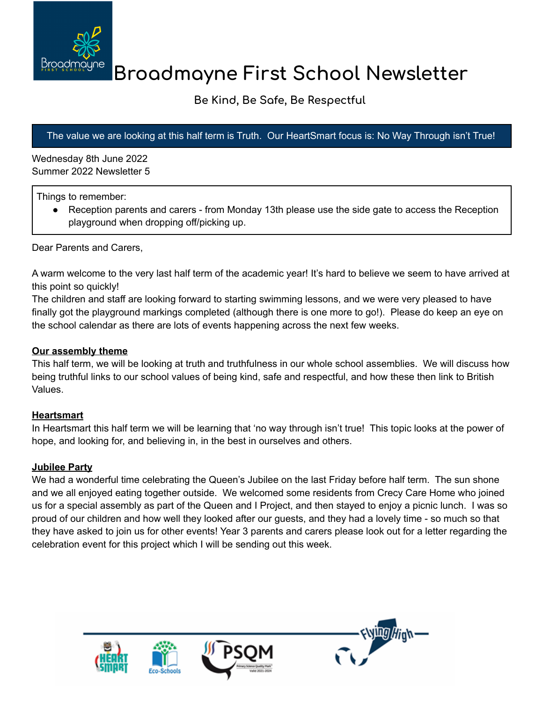

# **Broadmayne First School Newsletter**

## **Be Kind, Be Safe, Be Respectful**

### The value we are looking at this half term is Truth. Our HeartSmart focus is: No Way Through isn't True!

Wednesday 8th June 2022 Summer 2022 Newsletter 5

Things to remember:

• Reception parents and carers - from Monday 13th please use the side gate to access the Reception playground when dropping off/picking up.

Dear Parents and Carers,

A warm welcome to the very last half term of the academic year! It's hard to believe we seem to have arrived at this point so quickly!

The children and staff are looking forward to starting swimming lessons, and we were very pleased to have finally got the playground markings completed (although there is one more to go!). Please do keep an eye on the school calendar as there are lots of events happening across the next few weeks.

#### **Our assembly theme**

This half term, we will be looking at truth and truthfulness in our whole school assemblies. We will discuss how being truthful links to our school values of being kind, safe and respectful, and how these then link to British Values.

#### **Heartsmart**

In Heartsmart this half term we will be learning that 'no way through isn't true! This topic looks at the power of hope, and looking for, and believing in, in the best in ourselves and others.

#### **Jubilee Party**

We had a wonderful time celebrating the Queen's Jubilee on the last Friday before half term. The sun shone and we all enjoyed eating together outside. We welcomed some residents from Crecy Care Home who joined us for a special assembly as part of the Queen and I Project, and then stayed to enjoy a picnic lunch. I was so proud of our children and how well they looked after our guests, and they had a lovely time - so much so that they have asked to join us for other events! Year 3 parents and carers please look out for a letter regarding the celebration event for this project which I will be sending out this week.

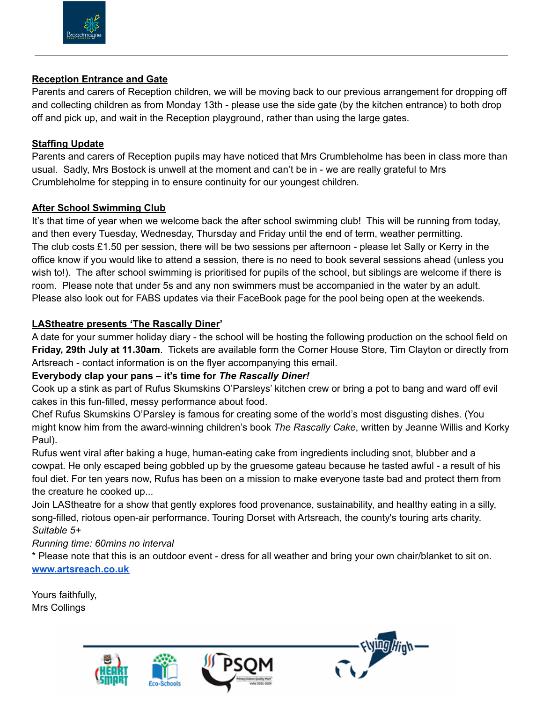

#### **Reception Entrance and Gate**

Parents and carers of Reception children, we will be moving back to our previous arrangement for dropping off and collecting children as from Monday 13th - please use the side gate (by the kitchen entrance) to both drop off and pick up, and wait in the Reception playground, rather than using the large gates.

#### **Staffing Update**

Parents and carers of Reception pupils may have noticed that Mrs Crumbleholme has been in class more than usual. Sadly, Mrs Bostock is unwell at the moment and can't be in - we are really grateful to Mrs Crumbleholme for stepping in to ensure continuity for our youngest children.

#### **After School Swimming Club**

It's that time of year when we welcome back the after school swimming club! This will be running from today, and then every Tuesday, Wednesday, Thursday and Friday until the end of term, weather permitting. The club costs £1.50 per session, there will be two sessions per afternoon - please let Sally or Kerry in the office know if you would like to attend a session, there is no need to book several sessions ahead (unless you wish to!). The after school swimming is prioritised for pupils of the school, but siblings are welcome if there is room. Please note that under 5s and any non swimmers must be accompanied in the water by an adult. Please also look out for FABS updates via their FaceBook page for the pool being open at the weekends.

#### **LAStheatre presents 'The Rascally Diner'**

A date for your summer holiday diary - the school will be hosting the following production on the school field on **Friday, 29th July at 11.30am**. Tickets are available form the Corner House Store, Tim Clayton or directly from Artsreach - contact information is on the flyer accompanying this email.

#### **Everybody clap your pans – it's time for** *The Rascally Diner!*

Cook up a stink as part of Rufus Skumskins O'Parsleys' kitchen crew or bring a pot to bang and ward off evil cakes in this fun-filled, messy performance about food.

Chef Rufus Skumskins O'Parsley is famous for creating some of the world's most disgusting dishes. (You might know him from the award-winning children's book *The Rascally Cake*, written by Jeanne Willis and Korky Paul).

Rufus went viral after baking a huge, human-eating cake from ingredients including snot, blubber and a cowpat. He only escaped being gobbled up by the gruesome gateau because he tasted awful - a result of his foul diet. For ten years now, Rufus has been on a mission to make everyone taste bad and protect them from the creature he cooked up...

Join LAStheatre for a show that gently explores food provenance, sustainability, and healthy eating in a silly, song-filled, riotous open-air performance. Touring Dorset with Artsreach, the county's touring arts charity. *Suitable 5+*

#### *Running time: 60mins no interval*

\* Please note that this is an outdoor event - dress for all weather and bring your own chair/blanket to sit on. **[www.artsreach.co.uk](http://www.artsreach.co.uk/)**

Yours faithfully, Mrs Collings